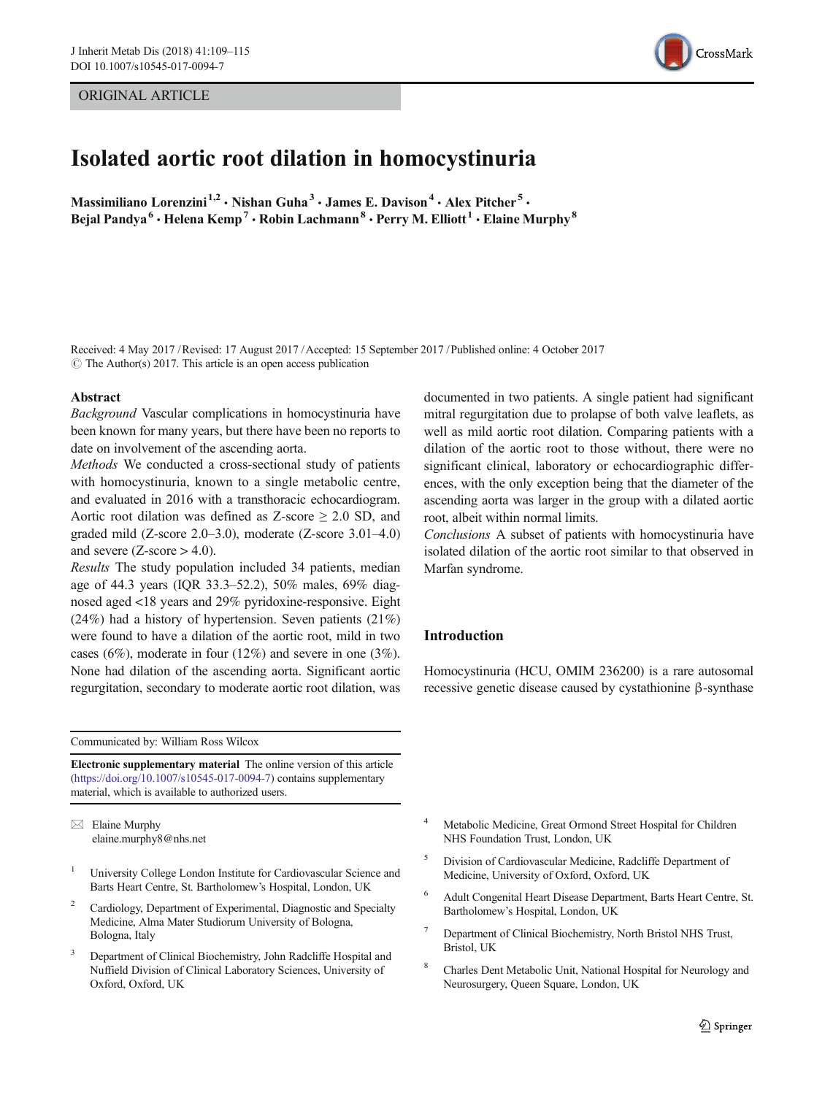## ORIGINAL ARTICLE



# Isolated aortic root dilation in homocystinuria

Massimiliano Lorenzini $^{1,2}\cdot$  Nishan Guha $^3\cdot$  James E. Davison $^4\cdot$  Alex Pitcher $^5\cdot$ Bejal Pandya $^6$  • Helena Kemp $^7$  • Robin Lachmann $^8$  • Perry M. Elliott $^1$  • Elaine Murphy $^8$ 

Received: 4 May 2017 /Revised: 17 August 2017 /Accepted: 15 September 2017 /Published online: 4 October 2017  $\circ$  The Author(s) 2017. This article is an open access publication

#### Abstract

Background Vascular complications in homocystinuria have been known for many years, but there have been no reports to date on involvement of the ascending aorta.

Methods We conducted a cross-sectional study of patients with homocystinuria, known to a single metabolic centre, and evaluated in 2016 with a transthoracic echocardiogram. Aortic root dilation was defined as Z-score  $\geq 2.0$  SD, and graded mild (Z-score 2.0–3.0), moderate (Z-score 3.01–4.0) and severe  $(Z\text{-score} > 4.0)$ .

Results The study population included 34 patients, median age of 44.3 years (IQR 33.3–52.2), 50% males, 69% diagnosed aged <18 years and 29% pyridoxine-responsive. Eight (24%) had a history of hypertension. Seven patients (21%) were found to have a dilation of the aortic root, mild in two cases (6%), moderate in four (12%) and severe in one (3%). None had dilation of the ascending aorta. Significant aortic regurgitation, secondary to moderate aortic root dilation, was

Communicated by: William Ross Wilcox

Electronic supplementary material The online version of this article (<https://doi.org/10.1007/s10545-017-0094-7>) contains supplementary material, which is available to authorized users.

 $\boxtimes$  Elaine Murphy [elaine.murphy8@nhs.net](mailto:elaine.murphy8@nhs.net)

- <sup>1</sup> University College London Institute for Cardiovascular Science and Barts Heart Centre, St. Bartholomew's Hospital, London, UK
- Cardiology, Department of Experimental, Diagnostic and Specialty Medicine, Alma Mater Studiorum University of Bologna, Bologna, Italy
- <sup>3</sup> Department of Clinical Biochemistry, John Radcliffe Hospital and Nuffield Division of Clinical Laboratory Sciences, University of Oxford, Oxford, UK

documented in two patients. A single patient had significant mitral regurgitation due to prolapse of both valve leaflets, as well as mild aortic root dilation. Comparing patients with a dilation of the aortic root to those without, there were no significant clinical, laboratory or echocardiographic differences, with the only exception being that the diameter of the ascending aorta was larger in the group with a dilated aortic root, albeit within normal limits.

Conclusions A subset of patients with homocystinuria have isolated dilation of the aortic root similar to that observed in Marfan syndrome.

## Introduction

Homocystinuria (HCU, OMIM 236200) is a rare autosomal recessive genetic disease caused by cystathionine β-synthase

- Metabolic Medicine, Great Ormond Street Hospital for Children NHS Foundation Trust, London, UK
- <sup>5</sup> Division of Cardiovascular Medicine, Radcliffe Department of Medicine, University of Oxford, Oxford, UK
- <sup>6</sup> Adult Congenital Heart Disease Department, Barts Heart Centre, St. Bartholomew's Hospital, London, UK
- <sup>7</sup> Department of Clinical Biochemistry, North Bristol NHS Trust, Bristol, UK
- <sup>8</sup> Charles Dent Metabolic Unit, National Hospital for Neurology and Neurosurgery, Queen Square, London, UK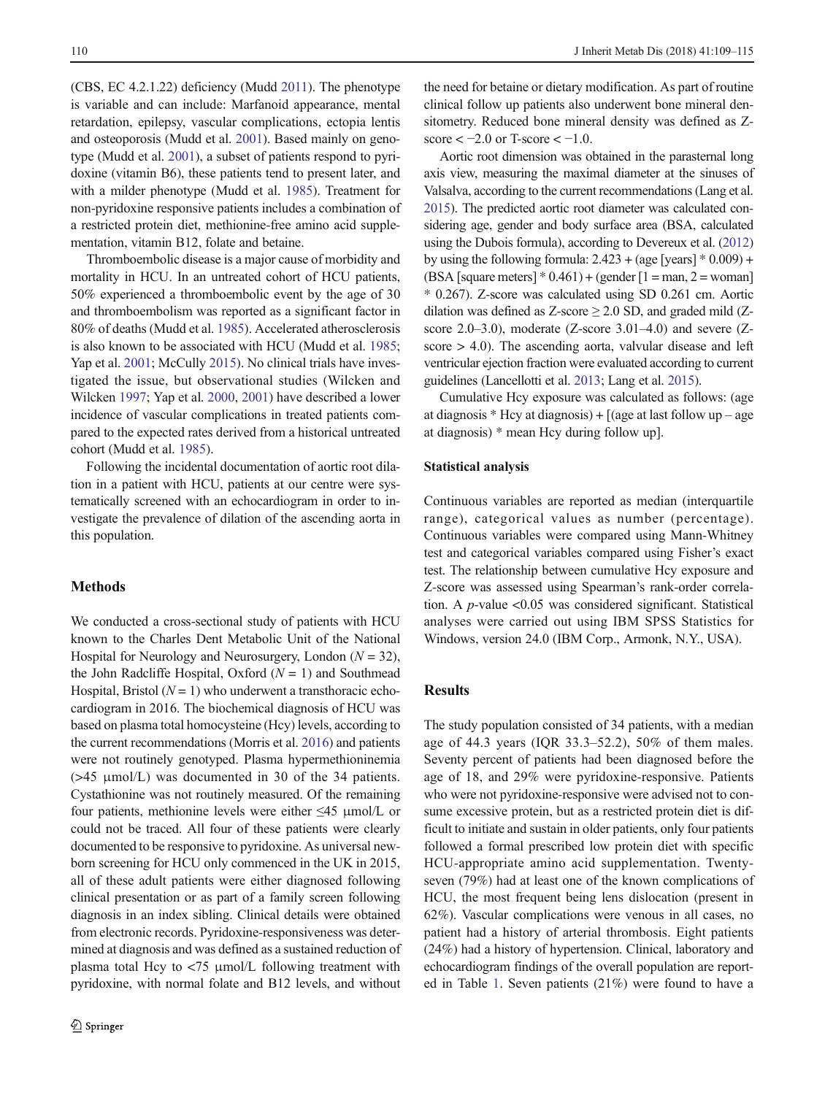(CBS, EC 4.2.1.22) deficiency (Mudd [2011](#page-5-0)). The phenotype is variable and can include: Marfanoid appearance, mental retardation, epilepsy, vascular complications, ectopia lentis and osteoporosis (Mudd et al. [2001\)](#page-5-0). Based mainly on genotype (Mudd et al. [2001\)](#page-5-0), a subset of patients respond to pyridoxine (vitamin B6), these patients tend to present later, and with a milder phenotype (Mudd et al. [1985\)](#page-5-0). Treatment for non-pyridoxine responsive patients includes a combination of a restricted protein diet, methionine-free amino acid supplementation, vitamin B12, folate and betaine.

Thromboembolic disease is a major cause of morbidity and mortality in HCU. In an untreated cohort of HCU patients, 50% experienced a thromboembolic event by the age of 30 and thromboembolism was reported as a significant factor in 80% of deaths (Mudd et al. [1985](#page-5-0)). Accelerated atherosclerosis is also known to be associated with HCU (Mudd et al. [1985](#page-5-0); Yap et al. [2001](#page-6-0); McCully [2015\)](#page-5-0). No clinical trials have investigated the issue, but observational studies (Wilcken and Wilcken [1997;](#page-6-0) Yap et al. [2000,](#page-6-0) [2001](#page-6-0)) have described a lower incidence of vascular complications in treated patients compared to the expected rates derived from a historical untreated cohort (Mudd et al. [1985\)](#page-5-0).

Following the incidental documentation of aortic root dilation in a patient with HCU, patients at our centre were systematically screened with an echocardiogram in order to investigate the prevalence of dilation of the ascending aorta in this population.

#### Methods

We conducted a cross-sectional study of patients with HCU known to the Charles Dent Metabolic Unit of the National Hospital for Neurology and Neurosurgery, London ( $N = 32$ ), the John Radcliffe Hospital, Oxford  $(N = 1)$  and Southmead Hospital, Bristol  $(N = 1)$  who underwent a transthoracic echocardiogram in 2016. The biochemical diagnosis of HCU was based on plasma total homocysteine (Hcy) levels, according to the current recommendations (Morris et al. [2016](#page-5-0)) and patients were not routinely genotyped. Plasma hypermethioninemia (>45 μmol/L) was documented in 30 of the 34 patients. Cystathionine was not routinely measured. Of the remaining four patients, methionine levels were either  $\leq 45 \mu$ mol/L or could not be traced. All four of these patients were clearly documented to be responsive to pyridoxine. As universal newborn screening for HCU only commenced in the UK in 2015, all of these adult patients were either diagnosed following clinical presentation or as part of a family screen following diagnosis in an index sibling. Clinical details were obtained from electronic records. Pyridoxine-responsiveness was determined at diagnosis and was defined as a sustained reduction of plasma total Hcy to  $\langle 75 \mu m o l / L$  following treatment with pyridoxine, with normal folate and B12 levels, and without

the need for betaine or dietary modification. As part of routine clinical follow up patients also underwent bone mineral densitometry. Reduced bone mineral density was defined as Zscore  $<-2.0$  or T-score  $<-1.0$ .

Aortic root dimension was obtained in the parasternal long axis view, measuring the maximal diameter at the sinuses of Valsalva, according to the current recommendations (Lang et al. [2015](#page-5-0)). The predicted aortic root diameter was calculated considering age, gender and body surface area (BSA, calculated using the Dubois formula), according to Devereux et al. [\(2012](#page-5-0)) by using the following formula:  $2.423 + (age [years] * 0.009) +$  $(BSA [square meters] * 0.461) + (gender [1 = man, 2 = woman]$ \* 0.267). Z-score was calculated using SD 0.261 cm. Aortic dilation was defined as Z-score  $\geq$  2.0 SD, and graded mild (Zscore 2.0–3.0), moderate (Z-score 3.01–4.0) and severe (Zscore > 4.0). The ascending aorta, valvular disease and left ventricular ejection fraction were evaluated according to current guidelines (Lancellotti et al. [2013;](#page-5-0) Lang et al. [2015\)](#page-5-0).

Cumulative Hcy exposure was calculated as follows: (age at diagnosis  $*$  Hcy at diagnosis) +  $\lceil$  (age at last follow up – age at diagnosis) \* mean Hcy during follow up].

## Statistical analysis

Continuous variables are reported as median (interquartile range), categorical values as number (percentage). Continuous variables were compared using Mann-Whitney test and categorical variables compared using Fisher's exact test. The relationship between cumulative Hcy exposure and Z-score was assessed using Spearman's rank-order correlation. A *p*-value <0.05 was considered significant. Statistical analyses were carried out using IBM SPSS Statistics for Windows, version 24.0 (IBM Corp., Armonk, N.Y., USA).

### **Results**

The study population consisted of 34 patients, with a median age of 44.3 years (IQR 33.3–52.2), 50% of them males. Seventy percent of patients had been diagnosed before the age of 18, and 29% were pyridoxine-responsive. Patients who were not pyridoxine-responsive were advised not to consume excessive protein, but as a restricted protein diet is difficult to initiate and sustain in older patients, only four patients followed a formal prescribed low protein diet with specific HCU-appropriate amino acid supplementation. Twentyseven (79%) had at least one of the known complications of HCU, the most frequent being lens dislocation (present in 62%). Vascular complications were venous in all cases, no patient had a history of arterial thrombosis. Eight patients (24%) had a history of hypertension. Clinical, laboratory and echocardiogram findings of the overall population are reported in Table [1.](#page-2-0) Seven patients (21%) were found to have a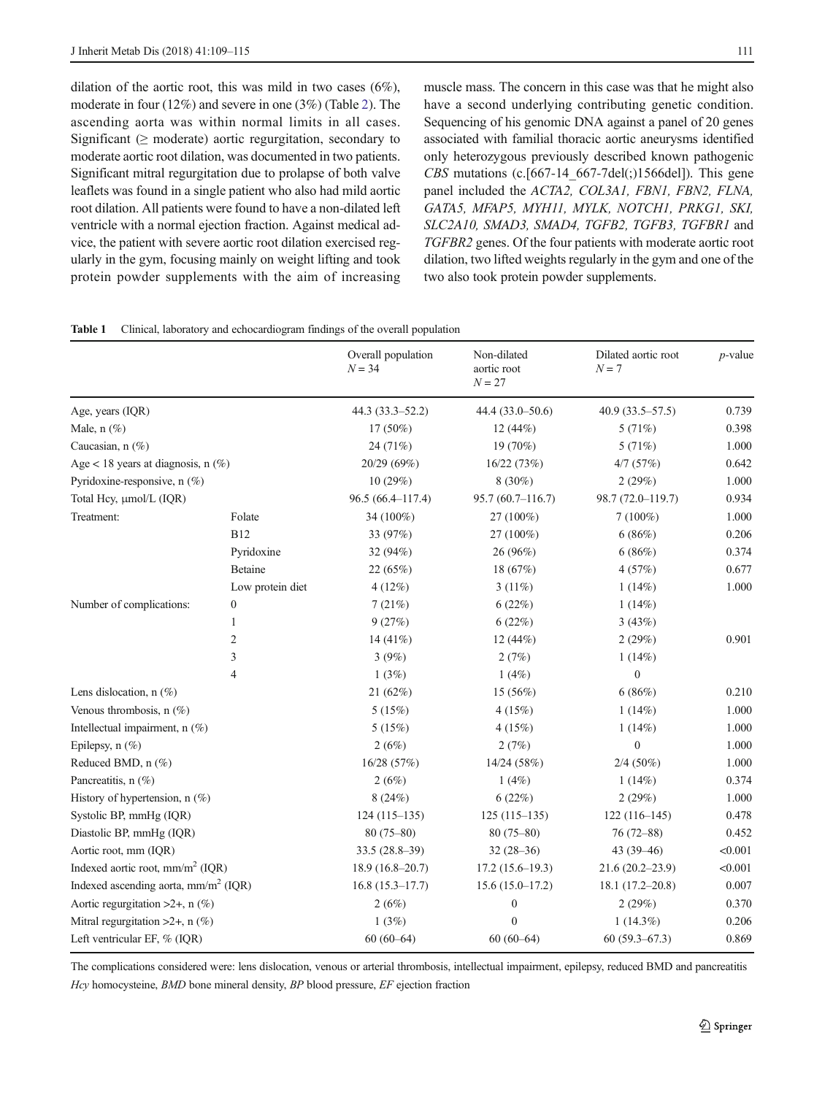<span id="page-2-0"></span>dilation of the aortic root, this was mild in two cases (6%), moderate in four (12%) and severe in one (3%) (Table [2](#page-3-0)). The ascending aorta was within normal limits in all cases. Significant  $(\geq)$  moderate) aortic regurgitation, secondary to moderate aortic root dilation, was documented in two patients. Significant mitral regurgitation due to prolapse of both valve leaflets was found in a single patient who also had mild aortic root dilation. All patients were found to have a non-dilated left ventricle with a normal ejection fraction. Against medical advice, the patient with severe aortic root dilation exercised regularly in the gym, focusing mainly on weight lifting and took protein powder supplements with the aim of increasing muscle mass. The concern in this case was that he might also have a second underlying contributing genetic condition. Sequencing of his genomic DNA against a panel of 20 genes associated with familial thoracic aortic aneurysms identified only heterozygous previously described known pathogenic CBS mutations (c. $[667-14\,667-7\text{del}$ ) (;)1566del]). This gene panel included the ACTA2, COL3A1, FBN1, FBN2, FLNA, GATA5, MFAP5, MYH11, MYLK, NOTCH1, PRKG1, SKI, SLC2A10, SMAD3, SMAD4, TGFB2, TGFB3, TGFBR1 and TGFBR2 genes. Of the four patients with moderate aortic root dilation, two lifted weights regularly in the gym and one of the two also took protein powder supplements.

|                                        |                  | Overall population<br>$N = 34$ | Non-dilated<br>aortic root<br>$N = 27$ | Dilated aortic root<br>$N = 7$ | $p$ -value |
|----------------------------------------|------------------|--------------------------------|----------------------------------------|--------------------------------|------------|
| Age, years (IQR)                       |                  | $44.3(33.3 - 52.2)$            | 44.4 (33.0–50.6)                       | $40.9(33.5 - 57.5)$            | 0.739      |
| Male, $n$ (%)                          |                  | 17 (50%)                       | 12 (44%)                               | 5(71%)                         | 0.398      |
| Caucasian, n (%)                       |                  | 24 (71%)                       | 19 (70%)                               | 5(71%)                         | 1.000      |
| Age < 18 years at diagnosis, $n$ (%)   |                  | 20/29 (69%)                    | 16/22(73%)                             | 4/7(57%)                       | 0.642      |
| Pyridoxine-responsive, n (%)           |                  | 10 (29%)                       | 8 (30%)                                | 2(29%)                         | 1.000      |
| Total Hcy, µmol/L (IQR)                |                  | 96.5 (66.4-117.4)              | $95.7(60.7-116.7)$                     | 98.7 (72.0-119.7)              | 0.934      |
| Treatment:                             | Folate           | 34 (100%)                      | 27 (100%)                              | $7(100\%)$                     | 1.000      |
|                                        | <b>B12</b>       | 33 (97%)                       | 27 (100%)                              | 6(86%)                         | 0.206      |
|                                        | Pyridoxine       | 32 (94%)                       | 26 (96%)                               | 6(86%)                         | 0.374      |
|                                        | Betaine          | 22 (65%)                       | 18 (67%)                               | 4(57%)                         | 0.677      |
|                                        | Low protein diet | $4(12\%)$                      | 3(11%)                                 | 1(14%)                         | 1.000      |
| Number of complications:               | $\boldsymbol{0}$ | 7(21%)                         | 6(22%)                                 | 1(14%)                         |            |
|                                        | $\mathbf{1}$     | 9(27%)                         | 6(22%)                                 | 3(43%)                         |            |
|                                        | $\overline{c}$   | 14 $(41\%)$                    | 12(44%)                                | 2(29%)                         | 0.901      |
|                                        | 3                | 3(9%)                          | 2(7%)                                  | 1(14%)                         |            |
|                                        | 4                | 1(3%)                          | 1(4%)                                  | $\mathbf{0}$                   |            |
| Lens dislocation, $n$ (%)              |                  | 21 (62%)                       | 15 (56%)                               | 6(86%)                         | 0.210      |
| Venous thrombosis, n (%)               |                  | 5(15%)                         | 4(15%)                                 | 1(14%)                         | 1.000      |
| Intellectual impairment, n (%)         |                  | 5(15%)                         | 4(15%)                                 | 1(14%)                         | 1.000      |
| Epilepsy, $n$ $(\%)$                   |                  | 2(6%)                          | 2(7%)                                  | $\boldsymbol{0}$               | 1.000      |
| Reduced BMD, n (%)                     |                  | 16/28 (57%)                    | 14/24 (58%)                            | $2/4(50\%)$                    | 1.000      |
| Pancreatitis, n (%)                    |                  | 2(6%)                          | 1(4%)                                  | 1(14%)                         | 0.374      |
| History of hypertension, n (%)         |                  | 8(24%)                         | 6(22%)                                 | 2(29%)                         | 1.000      |
| Systolic BP, mmHg (IQR)                |                  | $124(115-135)$                 | $125(115-135)$                         | $122(116-145)$                 | 0.478      |
| Diastolic BP, mmHg (IQR)               |                  | $80(75 - 80)$                  | $80(75 - 80)$                          | $76(72 - 88)$                  | 0.452      |
| Aortic root, mm (IQR)                  |                  | $33.5(28.8-39)$                | $32(28 - 36)$                          | 43 (39-46)                     | < 0.001    |
| Indexed aortic root, $mm/m2$ (IQR)     |                  | $18.9(16.8-20.7)$              | $17.2(15.6-19.3)$                      | $21.6(20.2 - 23.9)$            | < 0.001    |
| Indexed ascending aorta, $mm/m2$ (IQR) |                  | $16.8(15.3 - 17.7)$            | $15.6(15.0 - 17.2)$                    | $18.1(17.2 - 20.8)$            | 0.007      |
| Aortic regurgitation $>2+$ , n (%)     |                  | 2(6%)                          | $\boldsymbol{0}$                       | 2(29%)                         | 0.370      |
| Mitral regurgitation $>2+$ , n (%)     |                  | 1(3%)                          | $\mathbf{0}$                           | $1(14.3\%)$                    | 0.206      |
| Left ventricular EF, % (IQR)           |                  | $60(60-64)$                    | $60(60-64)$                            | $60(59.3 - 67.3)$              | 0.869      |

Table 1 Clinical, laboratory and echocardiogram findings of the overall population

The complications considered were: lens dislocation, venous or arterial thrombosis, intellectual impairment, epilepsy, reduced BMD and pancreatitis Hcy homocysteine, BMD bone mineral density, BP blood pressure, EF ejection fraction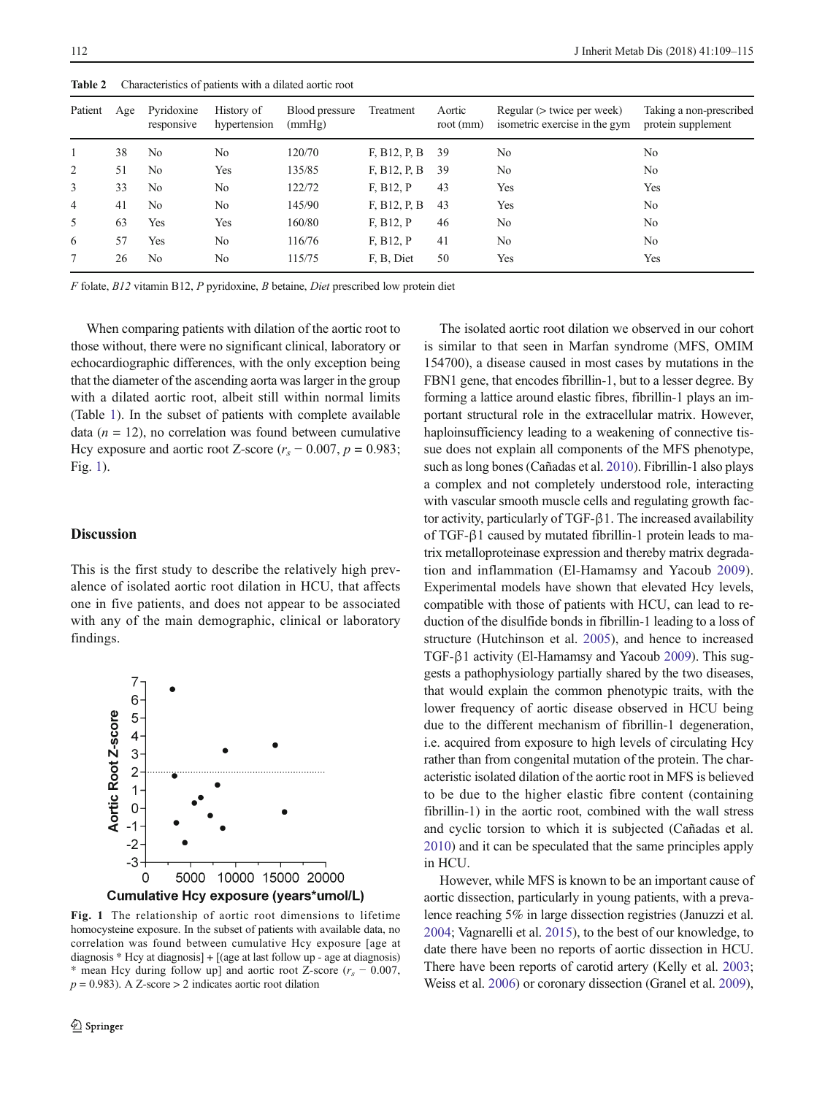| Patient        | Age | Pyridoxine<br>responsive | History of<br>hypertension | Blood pressure<br>(mmHg) | Treatment    | Aortic<br>root (mm) | Regular (> twice per week)<br>isometric exercise in the gym | Taking a non-prescribed<br>protein supplement |
|----------------|-----|--------------------------|----------------------------|--------------------------|--------------|---------------------|-------------------------------------------------------------|-----------------------------------------------|
| 1              | 38  | No                       | No                         | 120/70                   | F, B12, P, B | 39                  | No                                                          | No                                            |
| 2              | 51  | No                       | Yes                        | 135/85                   | F, B12, P, B | 39                  | No                                                          | No                                            |
| 3              | 33  | No                       | No                         | 122/72                   | F, B12, P    | 43                  | Yes                                                         | Yes                                           |
| $\overline{4}$ | 41  | No                       | No                         | 145/90                   | F, B12, P, B | 43                  | Yes                                                         | No                                            |
| 5              | 63  | Yes                      | Yes                        | 160/80                   | F, B12, P    | 46                  | N <sub>0</sub>                                              | N <sub>0</sub>                                |
| 6              | 57  | Yes                      | No                         | 116/76                   | F, B12, P    | 41                  | N <sub>0</sub>                                              | N <sub>o</sub>                                |
|                | 26  | No                       | No                         | 115/75                   | F, B, Diet   | 50                  | Yes                                                         | Yes                                           |

<span id="page-3-0"></span>Table 2 Characteristics of patients with a dilated aortic root

F folate, B12 vitamin B12, P pyridoxine, B betaine, Diet prescribed low protein diet

When comparing patients with dilation of the aortic root to those without, there were no significant clinical, laboratory or echocardiographic differences, with the only exception being that the diameter of the ascending aorta was larger in the group with a dilated aortic root, albeit still within normal limits (Table [1](#page-2-0)). In the subset of patients with complete available data ( $n = 12$ ), no correlation was found between cumulative Hcy exposure and aortic root Z-score ( $r_s$  – 0.007,  $p = 0.983$ ; Fig. 1).

## Discussion

This is the first study to describe the relatively high prevalence of isolated aortic root dilation in HCU, that affects one in five patients, and does not appear to be associated with any of the main demographic, clinical or laboratory findings.



Fig. 1 The relationship of aortic root dimensions to lifetime homocysteine exposure. In the subset of patients with available data, no correlation was found between cumulative Hcy exposure [age at diagnosis \* Hcy at diagnosis] + [(age at last follow up - age at diagnosis) mean Hcy during follow up] and aortic root Z-score ( $r_s$  – 0.007,  $p = 0.983$ ). A Z-score > 2 indicates aortic root dilation

The isolated aortic root dilation we observed in our cohort is similar to that seen in Marfan syndrome (MFS, OMIM 154700), a disease caused in most cases by mutations in the FBN1 gene, that encodes fibrillin-1, but to a lesser degree. By forming a lattice around elastic fibres, fibrillin-1 plays an important structural role in the extracellular matrix. However, haploinsufficiency leading to a weakening of connective tissue does not explain all components of the MFS phenotype, such as long bones (Cañadas et al. [2010](#page-5-0)). Fibrillin-1 also plays a complex and not completely understood role, interacting with vascular smooth muscle cells and regulating growth factor activity, particularly of TGF-β1. The increased availability of TGF-β1 caused by mutated fibrillin-1 protein leads to matrix metalloproteinase expression and thereby matrix degradation and inflammation (El-Hamamsy and Yacoub [2009](#page-5-0)). Experimental models have shown that elevated Hcy levels, compatible with those of patients with HCU, can lead to reduction of the disulfide bonds in fibrillin-1 leading to a loss of structure (Hutchinson et al. [2005](#page-5-0)), and hence to increased TGF-β1 activity (El-Hamamsy and Yacoub [2009](#page-5-0)). This suggests a pathophysiology partially shared by the two diseases, that would explain the common phenotypic traits, with the lower frequency of aortic disease observed in HCU being due to the different mechanism of fibrillin-1 degeneration, i.e. acquired from exposure to high levels of circulating Hcy rather than from congenital mutation of the protein. The characteristic isolated dilation of the aortic root in MFS is believed to be due to the higher elastic fibre content (containing fibrillin-1) in the aortic root, combined with the wall stress and cyclic torsion to which it is subjected (Cañadas et al. [2010\)](#page-5-0) and it can be speculated that the same principles apply in HCU.

However, while MFS is known to be an important cause of aortic dissection, particularly in young patients, with a prevalence reaching 5% in large dissection registries (Januzzi et al. [2004;](#page-5-0) Vagnarelli et al. [2015](#page-6-0)), to the best of our knowledge, to date there have been no reports of aortic dissection in HCU. There have been reports of carotid artery (Kelly et al. [2003;](#page-5-0) Weiss et al. [2006](#page-6-0)) or coronary dissection (Granel et al. [2009\)](#page-5-0),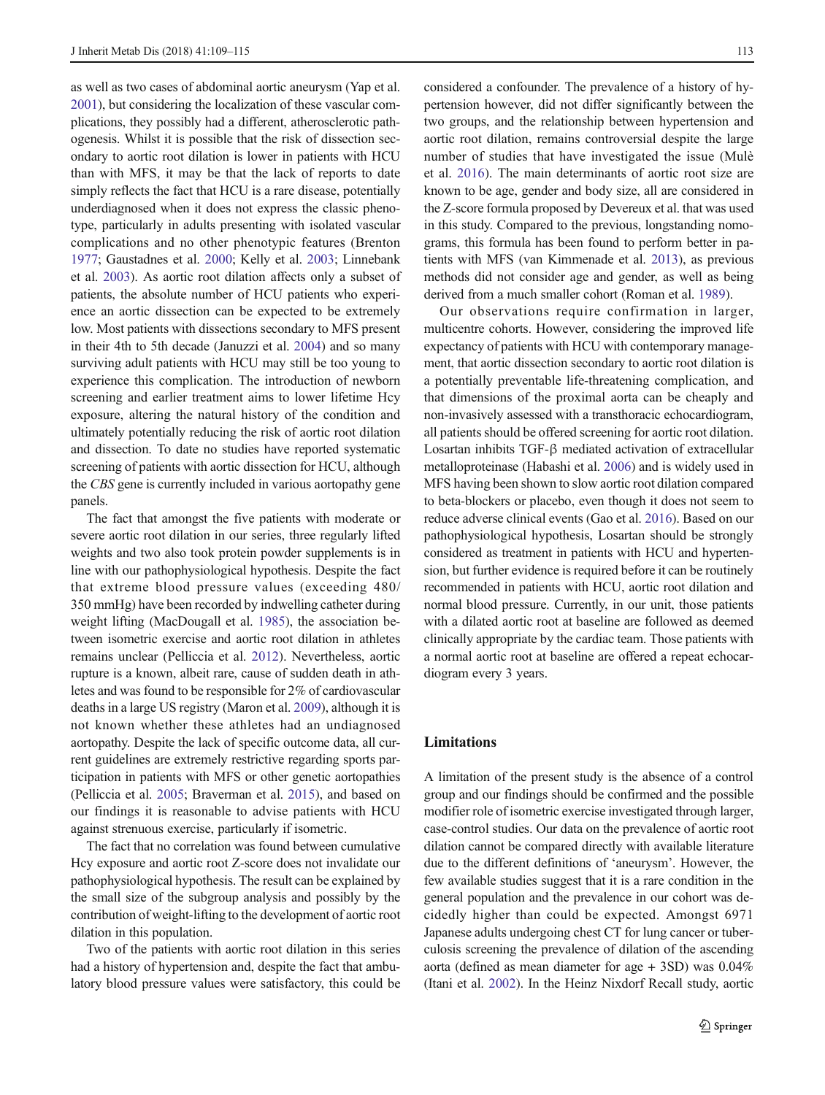as well as two cases of abdominal aortic aneurysm (Yap et al. [2001\)](#page-6-0), but considering the localization of these vascular complications, they possibly had a different, atherosclerotic pathogenesis. Whilst it is possible that the risk of dissection secondary to aortic root dilation is lower in patients with HCU than with MFS, it may be that the lack of reports to date simply reflects the fact that HCU is a rare disease, potentially underdiagnosed when it does not express the classic phenotype, particularly in adults presenting with isolated vascular complications and no other phenotypic features (Brenton [1977;](#page-5-0) Gaustadnes et al. [2000;](#page-5-0) Kelly et al. [2003](#page-5-0); Linnebank et al. [2003](#page-5-0)). As aortic root dilation affects only a subset of patients, the absolute number of HCU patients who experience an aortic dissection can be expected to be extremely low. Most patients with dissections secondary to MFS present in their 4th to 5th decade (Januzzi et al. [2004\)](#page-5-0) and so many surviving adult patients with HCU may still be too young to experience this complication. The introduction of newborn screening and earlier treatment aims to lower lifetime Hcy exposure, altering the natural history of the condition and ultimately potentially reducing the risk of aortic root dilation and dissection. To date no studies have reported systematic screening of patients with aortic dissection for HCU, although the CBS gene is currently included in various aortopathy gene panels.

The fact that amongst the five patients with moderate or severe aortic root dilation in our series, three regularly lifted weights and two also took protein powder supplements is in line with our pathophysiological hypothesis. Despite the fact that extreme blood pressure values (exceeding 480/ 350 mmHg) have been recorded by indwelling catheter during weight lifting (MacDougall et al. [1985\)](#page-5-0), the association between isometric exercise and aortic root dilation in athletes remains unclear (Pelliccia et al. [2012](#page-5-0)). Nevertheless, aortic rupture is a known, albeit rare, cause of sudden death in athletes and was found to be responsible for 2% of cardiovascular deaths in a large US registry (Maron et al. [2009\)](#page-5-0), although it is not known whether these athletes had an undiagnosed aortopathy. Despite the lack of specific outcome data, all current guidelines are extremely restrictive regarding sports participation in patients with MFS or other genetic aortopathies (Pelliccia et al. [2005;](#page-6-0) Braverman et al. [2015\)](#page-5-0), and based on our findings it is reasonable to advise patients with HCU against strenuous exercise, particularly if isometric.

The fact that no correlation was found between cumulative Hcy exposure and aortic root Z-score does not invalidate our pathophysiological hypothesis. The result can be explained by the small size of the subgroup analysis and possibly by the contribution of weight-lifting to the development of aortic root dilation in this population.

Two of the patients with aortic root dilation in this series had a history of hypertension and, despite the fact that ambulatory blood pressure values were satisfactory, this could be considered a confounder. The prevalence of a history of hypertension however, did not differ significantly between the two groups, and the relationship between hypertension and aortic root dilation, remains controversial despite the large number of studies that have investigated the issue (Mulè et al. [2016\)](#page-5-0). The main determinants of aortic root size are known to be age, gender and body size, all are considered in the Z-score formula proposed by Devereux et al. that was used in this study. Compared to the previous, longstanding nomograms, this formula has been found to perform better in patients with MFS (van Kimmenade et al. [2013\)](#page-6-0), as previous methods did not consider age and gender, as well as being derived from a much smaller cohort (Roman et al. [1989\)](#page-6-0).

Our observations require confirmation in larger, multicentre cohorts. However, considering the improved life expectancy of patients with HCU with contemporary management, that aortic dissection secondary to aortic root dilation is a potentially preventable life-threatening complication, and that dimensions of the proximal aorta can be cheaply and non-invasively assessed with a transthoracic echocardiogram, all patients should be offered screening for aortic root dilation. Losartan inhibits TGF-β mediated activation of extracellular metalloproteinase (Habashi et al. [2006\)](#page-5-0) and is widely used in MFS having been shown to slow aortic root dilation compared to beta-blockers or placebo, even though it does not seem to reduce adverse clinical events (Gao et al. [2016](#page-5-0)). Based on our pathophysiological hypothesis, Losartan should be strongly considered as treatment in patients with HCU and hypertension, but further evidence is required before it can be routinely recommended in patients with HCU, aortic root dilation and normal blood pressure. Currently, in our unit, those patients with a dilated aortic root at baseline are followed as deemed clinically appropriate by the cardiac team. Those patients with a normal aortic root at baseline are offered a repeat echocardiogram every 3 years.

#### Limitations

A limitation of the present study is the absence of a control group and our findings should be confirmed and the possible modifier role of isometric exercise investigated through larger, case-control studies. Our data on the prevalence of aortic root dilation cannot be compared directly with available literature due to the different definitions of 'aneurysm'. However, the few available studies suggest that it is a rare condition in the general population and the prevalence in our cohort was decidedly higher than could be expected. Amongst 6971 Japanese adults undergoing chest CT for lung cancer or tuberculosis screening the prevalence of dilation of the ascending aorta (defined as mean diameter for age + 3SD) was 0.04% (Itani et al. [2002\)](#page-5-0). In the Heinz Nixdorf Recall study, aortic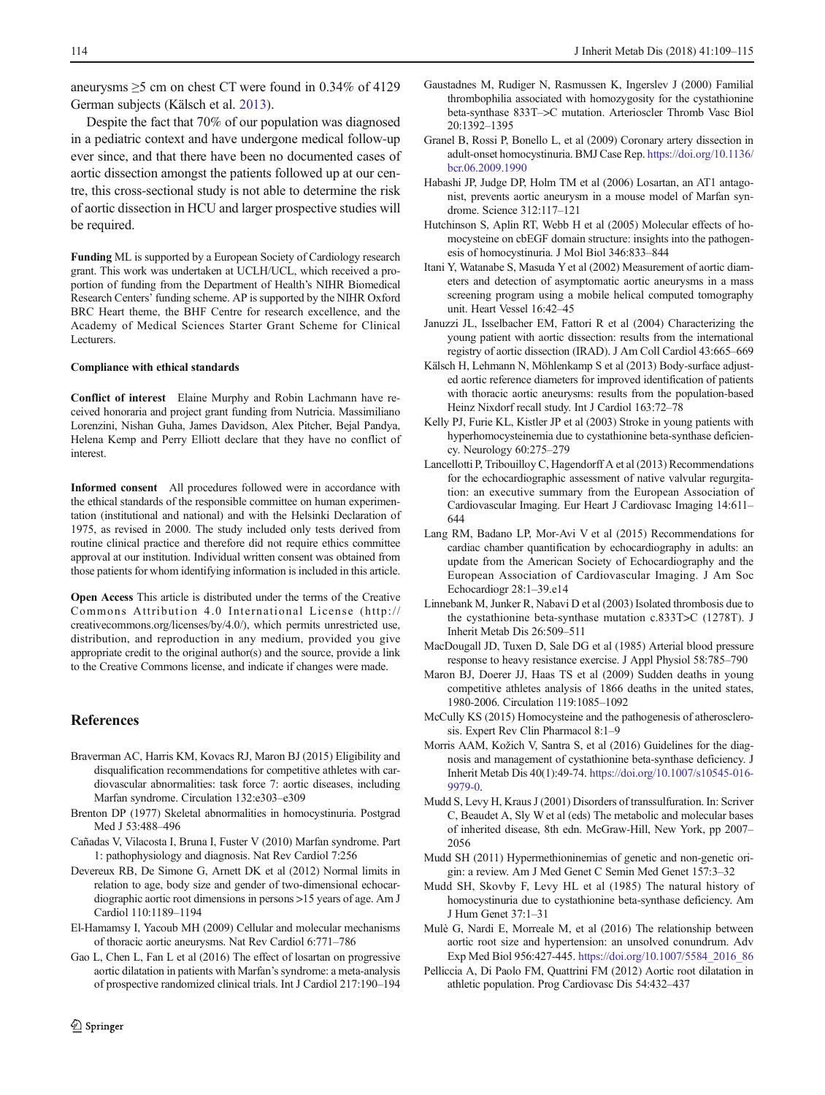<span id="page-5-0"></span>aneurysms ≥5 cm on chest CT were found in 0.34% of 4129 German subjects (Kälsch et al. 2013).

Despite the fact that 70% of our population was diagnosed in a pediatric context and have undergone medical follow-up ever since, and that there have been no documented cases of aortic dissection amongst the patients followed up at our centre, this cross-sectional study is not able to determine the risk of aortic dissection in HCU and larger prospective studies will be required.

Funding ML is supported by a European Society of Cardiology research grant. This work was undertaken at UCLH/UCL, which received a proportion of funding from the Department of Health's NIHR Biomedical Research Centers' funding scheme. AP is supported by the NIHR Oxford BRC Heart theme, the BHF Centre for research excellence, and the Academy of Medical Sciences Starter Grant Scheme for Clinical Lecturers.

#### Compliance with ethical standards

Conflict of interest Elaine Murphy and Robin Lachmann have received honoraria and project grant funding from Nutricia. Massimiliano Lorenzini, Nishan Guha, James Davidson, Alex Pitcher, Bejal Pandya, Helena Kemp and Perry Elliott declare that they have no conflict of interest.

Informed consent All procedures followed were in accordance with the ethical standards of the responsible committee on human experimentation (institutional and national) and with the Helsinki Declaration of 1975, as revised in 2000. The study included only tests derived from routine clinical practice and therefore did not require ethics committee approval at our institution. Individual written consent was obtained from those patients for whom identifying information is included in this article.

Open Access This article is distributed under the terms of the Creative Commons Attribution 4.0 International License (http:// creativecommons.org/licenses/by/4.0/), which permits unrestricted use, distribution, and reproduction in any medium, provided you give appropriate credit to the original author(s) and the source, provide a link to the Creative Commons license, and indicate if changes were made.

#### **References**

- Braverman AC, Harris KM, Kovacs RJ, Maron BJ (2015) Eligibility and disqualification recommendations for competitive athletes with cardiovascular abnormalities: task force 7: aortic diseases, including Marfan syndrome. Circulation 132:e303–e309
- Brenton DP (1977) Skeletal abnormalities in homocystinuria. Postgrad Med J 53:488–496
- Cañadas V, Vilacosta I, Bruna I, Fuster V (2010) Marfan syndrome. Part 1: pathophysiology and diagnosis. Nat Rev Cardiol 7:256
- Devereux RB, De Simone G, Arnett DK et al (2012) Normal limits in relation to age, body size and gender of two-dimensional echocardiographic aortic root dimensions in persons >15 years of age. Am J Cardiol 110:1189–1194
- El-Hamamsy I, Yacoub MH (2009) Cellular and molecular mechanisms of thoracic aortic aneurysms. Nat Rev Cardiol 6:771–786
- Gao L, Chen L, Fan L et al (2016) The effect of losartan on progressive aortic dilatation in patients with Marfan's syndrome: a meta-analysis of prospective randomized clinical trials. Int J Cardiol 217:190–194
- Gaustadnes M, Rudiger N, Rasmussen K, Ingerslev J (2000) Familial thrombophilia associated with homozygosity for the cystathionine beta-synthase 833T–>C mutation. Arterioscler Thromb Vasc Biol 20:1392–1395
- Granel B, Rossi P, Bonello L, et al (2009) Coronary artery dissection in adult-onset homocystinuria. BMJ Case Rep. [https://doi.org/10.1136/](http://doi.org/10.1136/bcr.06.2009.1990) [bcr.06.2009.1990](http://doi.org/10.1136/bcr.06.2009.1990)
- Habashi JP, Judge DP, Holm TM et al (2006) Losartan, an AT1 antagonist, prevents aortic aneurysm in a mouse model of Marfan syndrome. Science 312:117–121
- Hutchinson S, Aplin RT, Webb H et al (2005) Molecular effects of homocysteine on cbEGF domain structure: insights into the pathogenesis of homocystinuria. J Mol Biol 346:833–844
- Itani Y, Watanabe S, Masuda Y et al (2002) Measurement of aortic diameters and detection of asymptomatic aortic aneurysms in a mass screening program using a mobile helical computed tomography unit. Heart Vessel 16:42–45
- Januzzi JL, Isselbacher EM, Fattori R et al (2004) Characterizing the young patient with aortic dissection: results from the international registry of aortic dissection (IRAD). J Am Coll Cardiol 43:665–669
- Kälsch H, Lehmann N, Möhlenkamp S et al (2013) Body-surface adjusted aortic reference diameters for improved identification of patients with thoracic aortic aneurysms: results from the population-based Heinz Nixdorf recall study. Int J Cardiol 163:72–78
- Kelly PJ, Furie KL, Kistler JP et al (2003) Stroke in young patients with hyperhomocysteinemia due to cystathionine beta-synthase deficiency. Neurology 60:275–279
- Lancellotti P, Tribouilloy C, Hagendorff A et al (2013) Recommendations for the echocardiographic assessment of native valvular regurgitation: an executive summary from the European Association of Cardiovascular Imaging. Eur Heart J Cardiovasc Imaging 14:611– 644
- Lang RM, Badano LP, Mor-Avi V et al (2015) Recommendations for cardiac chamber quantification by echocardiography in adults: an update from the American Society of Echocardiography and the European Association of Cardiovascular Imaging. J Am Soc Echocardiogr 28:1–39.e14
- Linnebank M, Junker R, Nabavi D et al (2003) Isolated thrombosis due to the cystathionine beta-synthase mutation c.833T>C (1278T). J Inherit Metab Dis 26:509–511
- MacDougall JD, Tuxen D, Sale DG et al (1985) Arterial blood pressure response to heavy resistance exercise. J Appl Physiol 58:785–790
- Maron BJ, Doerer JJ, Haas TS et al (2009) Sudden deaths in young competitive athletes analysis of 1866 deaths in the united states, 1980-2006. Circulation 119:1085–1092
- McCully KS (2015) Homocysteine and the pathogenesis of atherosclerosis. Expert Rev Clin Pharmacol 8:1–9
- Morris AAM, Kožich V, Santra S, et al (2016) Guidelines for the diagnosis and management of cystathionine beta-synthase deficiency. J Inherit Metab Dis 40(1):49-74. [https://doi.org/10.1007/s10545-016-](http://doi.org/10.1007/s10545-016-9979-0) [9979-0](http://doi.org/10.1007/s10545-016-9979-0).
- Mudd S, Levy H, Kraus J (2001) Disorders of transsulfuration. In: Scriver C, Beaudet A, Sly W et al (eds) The metabolic and molecular bases of inherited disease, 8th edn. McGraw-Hill, New York, pp 2007– 2056
- Mudd SH (2011) Hypermethioninemias of genetic and non-genetic origin: a review. Am J Med Genet C Semin Med Genet 157:3–32
- Mudd SH, Skovby F, Levy HL et al (1985) The natural history of homocystinuria due to cystathionine beta-synthase deficiency. Am J Hum Genet 37:1–31
- Mulè G, Nardi E, Morreale M, et al (2016) The relationship between aortic root size and hypertension: an unsolved conundrum. Adv Exp Med Biol 956:427-445. [https://doi.org/10.1007/5584\\_2016\\_86](http://doi.org/10.1007/5584_2016_86)
- Pelliccia A, Di Paolo FM, Quattrini FM (2012) Aortic root dilatation in athletic population. Prog Cardiovasc Dis 54:432–437